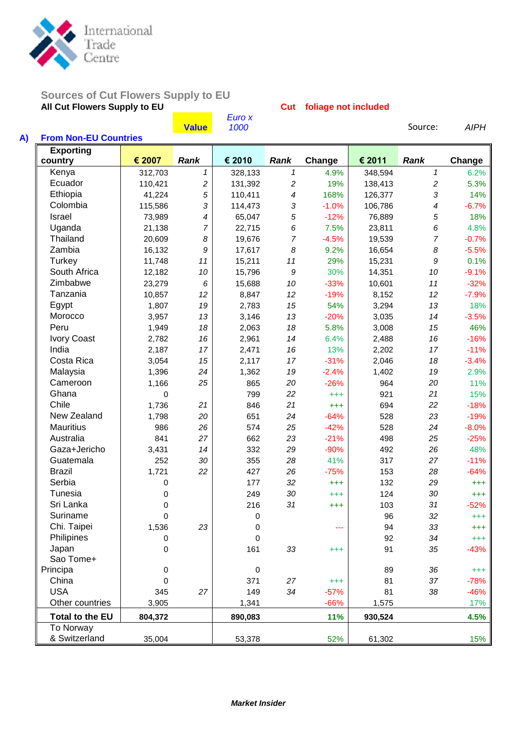

To Norway

## **Sources of Cut Flowers Supply to EU**

| All Cut Flowers Supply to EU |         |              |                |                         | <b>Cut</b> foliage not included |         |                          |             |
|------------------------------|---------|--------------|----------------|-------------------------|---------------------------------|---------|--------------------------|-------------|
|                              |         | <b>Value</b> | Euro x<br>1000 |                         |                                 |         | Source:                  | <b>AIPH</b> |
| <b>From Non-EU Countries</b> |         |              |                |                         |                                 |         |                          |             |
| <b>Exporting</b><br>country  | € 2007  | <b>Rank</b>  | € 2010         | Rank                    | Change                          | € 2011  | Rank                     | Change      |
| Kenya                        | 312,703 | $\mathcal I$ | 328,133        | $\mathcal I$            | 4.9%                            | 348,594 | 1                        | 6.2%        |
| Ecuador                      | 110,421 | 2            | 131,392        | $\overline{\mathbf{c}}$ | 19%                             | 138,413 | $\overline{c}$           | 5.3%        |
| Ethiopia                     | 41,224  | $\sqrt{5}$   | 110,411        | $\boldsymbol{4}$        | 168%                            | 126,377 | $\sqrt{3}$               | 14%         |
| Colombia                     | 115,586 | 3            | 114,473        | 3                       | $-1.0%$                         | 106,786 | $\overline{\mathcal{A}}$ | $-6.7%$     |
| Israel                       | 73,989  | 4            | 65,047         | 5                       | $-12%$                          | 76,889  | $\sqrt{5}$               | 18%         |
| Uganda                       | 21,138  | 7            | 22,715         | 6                       | 7.5%                            | 23,811  | 6                        | 4.8%        |
| Thailand                     | 20,609  | 8            | 19,676         | $\overline{7}$          | $-4.5%$                         | 19,539  | $\overline{7}$           | $-0.7%$     |
| Zambia                       | 16,132  | 9            | 17,617         | 8                       | 9.2%                            | 16,654  | $\boldsymbol{8}$         | $-5.5%$     |
| Turkey                       | 11,748  | 11           | 15,211         | 11                      | 29%                             | 15,231  | $\boldsymbol{9}$         | 0.1%        |
| South Africa                 | 12,182  | $10$         | 15,796         | 9                       | 30%                             | 14,351  | 10                       | $-9.1%$     |
| Zimbabwe                     | 23,279  | 6            | 15,688         | 10                      | $-33%$                          | 10,601  | 11                       | $-32%$      |
| Tanzania                     | 10,857  | 12           | 8,847          | 12                      | $-19%$                          | 8,152   | 12                       | $-7.9%$     |
| Egypt                        | 1,807   | 19           | 2,783          | 15                      | 54%                             | 3,294   | 13                       | 18%         |
| Morocco                      | 3,957   | 13           | 3,146          | 13                      | $-20%$                          | 3,035   | 14                       | $-3.5%$     |
| Peru                         | 1,949   | 18           | 2,063          | 18                      | 5.8%                            | 3,008   | 15                       | 46%         |
| <b>Ivory Coast</b>           | 2,782   | 16           | 2,961          | 14                      | 6.4%                            | 2,488   | 16                       | $-16%$      |
| India                        | 2,187   | 17           | 2,471          | 16                      | 13%                             | 2,202   | 17                       | $-11%$      |
| Costa Rica                   | 3,054   | 15           | 2,117          | 17                      | $-31%$                          | 2,046   | 18                       | $-3.4%$     |
| Malaysia                     | 1,396   | 24           | 1,362          | 19                      | $-2.4%$                         | 1,402   | 19                       | 2.9%        |
| Cameroon                     | 1,166   | 25           | 865            | 20                      | $-26%$                          | 964     | 20                       | 11%         |
| Ghana                        | 0       |              | 799            | 22                      | $^{+++}$                        | 921     | 21                       | 15%         |
| Chile                        | 1,736   | 21           | 846            | 21                      | $^{+++}$                        | 694     | 22                       | $-18%$      |
| New Zealand                  | 1,798   | 20           | 651            | 24                      | $-64%$                          | 528     | 23                       | $-19%$      |
| <b>Mauritius</b>             | 986     | 26           | 574            | 25                      | $-42%$                          | 528     | 24                       | $-8.0%$     |
| Australia                    | 841     | 27           | 662            | 23                      | $-21%$                          | 498     | 25                       | $-25%$      |
| Gaza+Jericho                 | 3,431   | 14           | 332            | 29                      | $-90%$                          | 492     | 26                       | 48%         |
| Guatemala                    | 252     | 30           | 355            | 28                      | 41%                             | 317     | 27                       | $-11%$      |
| <b>Brazil</b>                | 1,721   | 22           | 427            | 26                      | $-75%$                          | 153     | 28                       | $-64%$      |
| Serbia                       | 0       |              | 177            | 32                      | $^{+++}$                        | 132     | 29                       | $^{+++}$    |
| Tunesia                      | 0       |              | 249            | $30\,$                  | $^{+++}$                        | 124     | $30\,$                   | $^{+++}$    |
| Sri Lanka                    | 0       |              | 216            | 31                      | $^{+++}$                        | 103     | 31                       | $-52%$      |
| Suriname                     | 0       |              | 0              |                         |                                 | 96      | 32                       | $^{+++}$    |
| Chi. Taipei                  | 1,536   | 23           | 0              |                         | ---                             | 94      | 33                       | $^{+++}$    |
| Philipines                   | 0       |              | 0              |                         |                                 | 92      | 34                       | $^{+++}$    |
| Japan                        | 0       |              | 161            | 33                      | $^{+++}$                        | 91      | 35                       | $-43%$      |
| Sao Tome+                    |         |              |                |                         |                                 |         |                          |             |
| Principa                     | 0       |              | 0              |                         |                                 | 89      | 36                       | $^{+++}$    |
| China                        | 0       |              | 371            | 27                      | $^{+++}$                        | 81      | 37                       | $-78%$      |
| <b>USA</b>                   | 345     | 27           | 149            | 34                      | $-57%$                          | 81      | 38                       | $-46%$      |

Other countries 3,905 1,341 -66% 1,575 17% **Total to the EU 804,372 890,083 11% 930,524 4.5%**

8. Switzerland 35,004 53,378 52% 61,302 53,378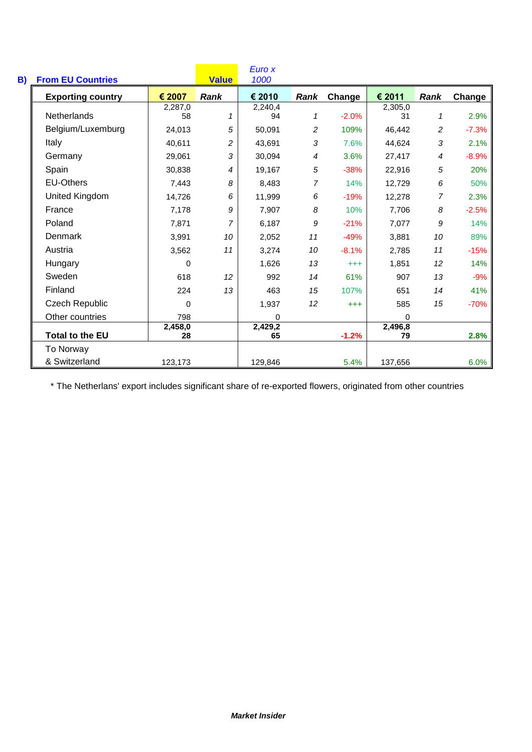|    |                          |              |                | Euro x  |                |          |          |             |         |
|----|--------------------------|--------------|----------------|---------|----------------|----------|----------|-------------|---------|
| B) | <b>From EU Countries</b> | <b>Value</b> | 1000           |         |                |          |          |             |         |
|    | <b>Exporting country</b> | € 2007       | Rank           | € 2010  | <b>Rank</b>    | Change   | € 2011   | <b>Rank</b> | Change  |
|    |                          | 2,287,0      |                | 2,240,4 |                |          | 2,305,0  |             |         |
|    | Netherlands              | 58           | 1              | 94      | $\mathbf{1}$   | $-2.0%$  | 31       | 1           | 2.9%    |
|    | Belgium/Luxemburg        | 24,013       | 5              | 50,091  | $\overline{c}$ | 109%     | 46,442   | 2           | $-7.3%$ |
|    | Italy                    | 40,611       | $\overline{c}$ | 43,691  | 3              | 7.6%     | 44,624   | 3           | 2.1%    |
|    | Germany                  | 29,061       | 3              | 30,094  | 4              | 3.6%     | 27,417   | 4           | $-8.9%$ |
|    | Spain                    | 30,838       | $\overline{4}$ | 19,167  | 5              | $-38%$   | 22,916   | 5           | 20%     |
|    | <b>EU-Others</b>         | 7,443        | 8              | 8,483   | 7              | 14%      | 12,729   | 6           | 50%     |
|    | United Kingdom           | 14,726       | 6              | 11,999  | 6              | $-19%$   | 12,278   | 7           | 2.3%    |
|    | France                   | 7,178        | 9              | 7,907   | 8              | 10%      | 7,706    | 8           | $-2.5%$ |
|    | Poland                   | 7,871        | 7              | 6,187   | 9              | $-21%$   | 7,077    | 9           | 14%     |
|    | Denmark                  | 3,991        | 10             | 2,052   | 11             | $-49%$   | 3,881    | 10          | 89%     |
|    | Austria                  | 3,562        | 11             | 3,274   | 10             | $-8.1%$  | 2,785    | 11          | $-15%$  |
|    | Hungary                  | 0            |                | 1,626   | 13             | $^{+++}$ | 1,851    | 12          | 14%     |
|    | Sweden                   | 618          | 12             | 992     | 14             | 61%      | 907      | 13          | $-9%$   |
|    | Finland                  | 224          | 13             | 463     | 15             | 107%     | 651      | 14          | 41%     |
|    | <b>Czech Republic</b>    | 0            |                | 1,937   | 12             | $^{+++}$ | 585      | 15          | $-70%$  |
|    | Other countries          | 798          |                | 0       |                |          | $\Omega$ |             |         |
|    |                          | 2,458,0      |                | 2,429,2 |                |          | 2,496,8  |             |         |
|    | <b>Total to the EU</b>   | 28           |                | 65      |                | $-1.2%$  | 79       |             | 2.8%    |
|    | To Norway                |              |                |         |                |          |          |             |         |
|    | & Switzerland            | 123,173      |                | 129,846 |                | 5.4%     | 137,656  |             | 6.0%    |

\* The Netherlans' export includes significant share of re-exported flowers, originated from other countries